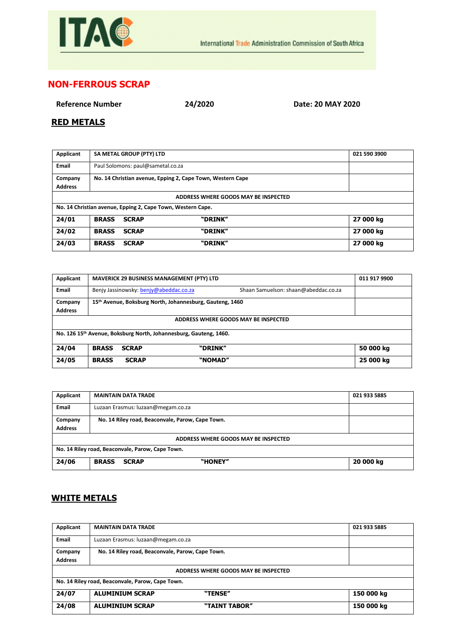

## **NON-FERROUS SCRAP**

**Reference Number 24/2020 Date: 20 MAY 2020**

## **RED METALS**

| Applicant                                                   | SA METAL GROUP (PTY) LTD                                   |         | 021 590 3900 |  |
|-------------------------------------------------------------|------------------------------------------------------------|---------|--------------|--|
| Email                                                       | Paul Solomons: paul@sametal.co.za                          |         |              |  |
| Company                                                     | No. 14 Christian avenue, Epping 2, Cape Town, Western Cape |         |              |  |
| <b>Address</b>                                              |                                                            |         |              |  |
| ADDRESS WHERE GOODS MAY BE INSPECTED                        |                                                            |         |              |  |
| No. 14 Christian avenue, Epping 2, Cape Town, Western Cape. |                                                            |         |              |  |
| 24/01                                                       | <b>BRASS</b><br><b>SCRAP</b>                               | "DRINK" | 27 000 kg    |  |
| 24/02                                                       | <b>BRASS</b><br><b>SCRAP</b>                               | "DRINK" | 27 000 kg    |  |
| 24/03                                                       | <b>BRASS</b><br><b>SCRAP</b>                               | "DRINK" | 27 000 kg    |  |

| Applicant                                                         |                                                          |                                        | <b>MAVERICK 29 BUSINESS MANAGEMENT (PTY) LTD</b> |                                      | 011 917 9900 |
|-------------------------------------------------------------------|----------------------------------------------------------|----------------------------------------|--------------------------------------------------|--------------------------------------|--------------|
| <b>Email</b>                                                      |                                                          | Benjy Jassinowsky: benjy@abeddac.co.za |                                                  | Shaan Samuelson: shaan@abeddac.co.za |              |
| Company                                                           | 15th Avenue, Boksburg North, Johannesburg, Gauteng, 1460 |                                        |                                                  |                                      |              |
| <b>Address</b>                                                    |                                                          |                                        |                                                  |                                      |              |
| ADDRESS WHERE GOODS MAY BE INSPECTED                              |                                                          |                                        |                                                  |                                      |              |
| No. 126 15th Avenue, Boksburg North, Johannesburg, Gauteng, 1460. |                                                          |                                        |                                                  |                                      |              |
| 24/04                                                             | <b>BRASS</b>                                             | <b>SCRAP</b>                           | "DRINK"                                          |                                      | 50 000 kg    |
| 24/05                                                             | <b>BRASS</b>                                             | <b>SCRAP</b>                           | "NOMAD"                                          |                                      | 25 000 kg    |

| Applicant                                        | <b>MAINTAIN DATA TRADE</b>                       | 021 933 5885 |  |  |
|--------------------------------------------------|--------------------------------------------------|--------------|--|--|
| <b>Email</b>                                     | Luzaan Erasmus: luzaan@megam.co.za               |              |  |  |
| Company                                          | No. 14 Riley road, Beaconvale, Parow, Cape Town. |              |  |  |
| <b>Address</b>                                   |                                                  |              |  |  |
| ADDRESS WHERE GOODS MAY BE INSPECTED             |                                                  |              |  |  |
| No. 14 Riley road, Beaconvale, Parow, Cape Town. |                                                  |              |  |  |
| 24/06                                            | "HONEY"<br><b>BRASS</b><br><b>SCRAP</b>          | 20 000 kg    |  |  |

## **WHITE METALS**

| Applicant                                        | <b>MAINTAIN DATA TRADE</b>                       | 021 933 5885 |  |  |
|--------------------------------------------------|--------------------------------------------------|--------------|--|--|
| Email                                            | Luzaan Erasmus: luzaan@megam.co.za               |              |  |  |
| Company                                          | No. 14 Riley road, Beaconvale, Parow, Cape Town. |              |  |  |
| <b>Address</b>                                   |                                                  |              |  |  |
| ADDRESS WHERE GOODS MAY BE INSPECTED             |                                                  |              |  |  |
| No. 14 Riley road, Beaconvale, Parow, Cape Town. |                                                  |              |  |  |
| 24/07                                            | <b>ALUMINIUM SCRAP</b><br>"TENSE"                | 150 000 kg   |  |  |
| 24/08                                            | <b>ALUMINIUM SCRAP</b><br>"TAINT TABOR"          | 150 000 kg   |  |  |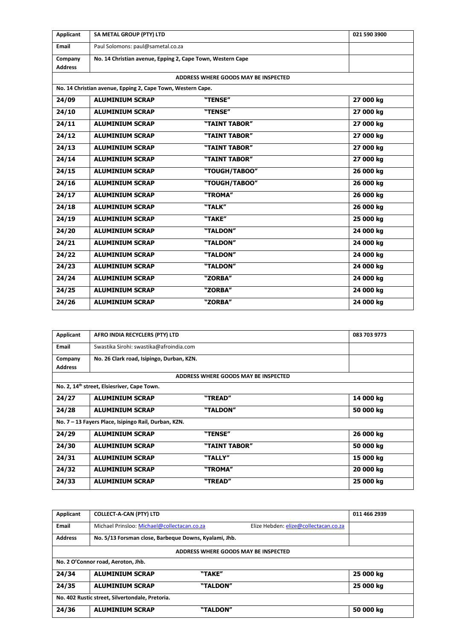| Applicant                 | SA METAL GROUP (PTY) LTD                                    |                                      | 021 590 3900 |
|---------------------------|-------------------------------------------------------------|--------------------------------------|--------------|
| Email                     | Paul Solomons: paul@sametal.co.za                           |                                      |              |
| Company<br><b>Address</b> | No. 14 Christian avenue, Epping 2, Cape Town, Western Cape  |                                      |              |
|                           |                                                             | ADDRESS WHERE GOODS MAY BE INSPECTED |              |
|                           | No. 14 Christian avenue, Epping 2, Cape Town, Western Cape. |                                      |              |
| 24/09                     | <b>ALUMINIUM SCRAP</b>                                      | "TENSE"                              | 27 000 kg    |
| 24/10                     | <b>ALUMINIUM SCRAP</b>                                      | "TENSE"                              | 27 000 kg    |
| 24/11                     | <b>ALUMINIUM SCRAP</b>                                      | "TAINT TABOR"                        | 27 000 kg    |
| 24/12                     | <b>ALUMINIUM SCRAP</b>                                      | "TAINT TABOR"                        | 27 000 kg    |
| 24/13                     | <b>ALUMINIUM SCRAP</b>                                      | "TAINT TABOR"                        | 27 000 kg    |
| 24/14                     | <b>ALUMINIUM SCRAP</b>                                      | "TAINT TABOR"                        | 27 000 kg    |
| 24/15                     | <b>ALUMINIUM SCRAP</b>                                      | "TOUGH/TABOO"                        | 26 000 kg    |
| 24/16                     | <b>ALUMINIUM SCRAP</b>                                      | "TOUGH/TABOO"                        | 26 000 kg    |
| 24/17                     | <b>ALUMINIUM SCRAP</b>                                      | "TROMA"                              | 26 000 kg    |
| 24/18                     | <b>ALUMINIUM SCRAP</b>                                      | "TALK"                               | 26 000 kg    |
| 24/19                     | <b>ALUMINIUM SCRAP</b>                                      | "TAKE"                               | 25 000 kg    |
| 24/20                     | <b>ALUMINIUM SCRAP</b>                                      | "TALDON"                             | 24 000 kg    |
| 24/21                     | <b>ALUMINIUM SCRAP</b>                                      | "TALDON"                             | 24 000 kg    |
| 24/22                     | <b>ALUMINIUM SCRAP</b>                                      | "TALDON"                             | 24 000 kg    |
| 24/23                     | <b>ALUMINIUM SCRAP</b>                                      | "TALDON"                             | 24 000 kg    |
| 24/24                     | <b>ALUMINIUM SCRAP</b>                                      | "ZORBA"                              | 24 000 kg    |
| 24/25                     | <b>ALUMINIUM SCRAP</b>                                      | "ZORBA"                              | 24 000 kg    |
| 24/26                     | <b>ALUMINIUM SCRAP</b>                                      | "ZORBA"                              | 24 000 kg    |

| Applicant      | AFRO INDIA RECYCLERS (PTY) LTD                          |                                      | 083 703 9773 |  |
|----------------|---------------------------------------------------------|--------------------------------------|--------------|--|
| Email          | Swastika Sirohi: swastika@afroindia.com                 |                                      |              |  |
|                |                                                         |                                      |              |  |
| Company        | No. 26 Clark road, Isipingo, Durban, KZN.               |                                      |              |  |
| <b>Address</b> |                                                         |                                      |              |  |
|                |                                                         |                                      |              |  |
|                |                                                         | ADDRESS WHERE GOODS MAY BE INSPECTED |              |  |
|                | No. 2, 14 <sup>th</sup> street, Elsiesriver, Cape Town. |                                      |              |  |
|                |                                                         |                                      |              |  |
| 24/27          | <b>ALUMINIUM SCRAP</b>                                  | "TREAD"                              | 14 000 kg    |  |
|                |                                                         |                                      |              |  |
| 24/28          | <b>ALUMINIUM SCRAP</b>                                  | "TALDON"                             | 50 000 kg    |  |
|                |                                                         |                                      |              |  |
|                | No. 7 - 13 Fayers Place, Isipingo Rail, Durban, KZN.    |                                      |              |  |
| 24/29          | <b>ALUMINIUM SCRAP</b>                                  | "TENSE"                              | 26 000 kg    |  |
|                |                                                         |                                      |              |  |
| 24/30          | <b>ALUMINIUM SCRAP</b>                                  | "TAINT TABOR"                        | 50 000 kg    |  |
|                |                                                         |                                      |              |  |
| 24/31          | <b>ALUMINIUM SCRAP</b>                                  | "TALLY"                              | 15 000 kg    |  |
|                |                                                         |                                      |              |  |
| 24/32          | <b>ALUMINIUM SCRAP</b>                                  | "TROMA"                              | 20 000 kg    |  |
|                |                                                         |                                      |              |  |
| 24/33          | <b>ALUMINIUM SCRAP</b>                                  | "TREAD"                              | 25 000 kg    |  |
|                |                                                         |                                      |              |  |

| Applicant                                       | <b>COLLECT-A-CAN (PTY) LTD</b>                        |          |                                       | 011 466 2939 |  |
|-------------------------------------------------|-------------------------------------------------------|----------|---------------------------------------|--------------|--|
| <b>Email</b>                                    | Michael Prinsloo: Michael@collectacan.co.za           |          | Elize Hebden: elize@collectacan.co.za |              |  |
| <b>Address</b>                                  | No. 5/13 Forsman close, Barbeque Downs, Kyalami, Jhb. |          |                                       |              |  |
| ADDRESS WHERE GOODS MAY BE INSPECTED            |                                                       |          |                                       |              |  |
| No. 2 O'Connor road, Aeroton, Jhb.              |                                                       |          |                                       |              |  |
| 24/34                                           | <b>ALUMINIUM SCRAP</b>                                | "TAKE"   |                                       | 25 000 kg    |  |
| 24/35                                           | <b>ALUMINIUM SCRAP</b>                                | "TALDON" |                                       | 25 000 kg    |  |
| No. 402 Rustic street, Silvertondale, Pretoria. |                                                       |          |                                       |              |  |
| 24/36                                           | <b>ALUMINIUM SCRAP</b>                                | "TALDON" |                                       | 50 000 kg    |  |